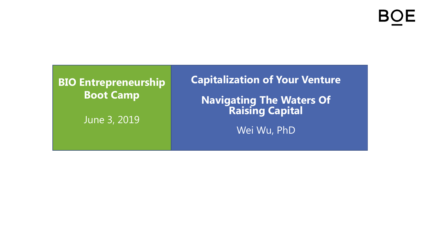### **BIO Entrepreneurship Boot Camp**

June 3, 2019

**Capitalization of Your Venture**

**Navigating The Waters Of Raising Capital**

Wei Wu, PhD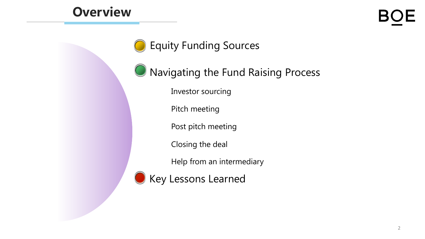# **Overview**



Equity Funding Sources

**O** Navigating the Fund Raising Process

Investor sourcing

Pitch meeting

Post pitch meeting

Closing the deal

Help from an intermediary

Key Lessons Learned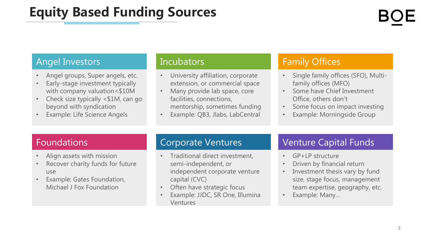# **Equity Based Funding Sources**

### Angel Investors

- Angel groups, Super angels, etc.
- Early-stage investment typically with company valuation<\$10M
- Check size typically <\$1M, can go beyond with syndication
- **Example: Life Science Angels**

#### Incubators

- University affiliation, corporate extension, or commercial space
- Many provide lab space, core facilities, connections, mentorship, sometimes funding
- Example: QB3, Jlabs, LabCentral

### Family Offices

- Single family offices (SFO), Multifamily offices (MFO)
- Some have Chief Investment Office, others don't
- Some focus on impact investing
- Example: Morningside Group

### Foundations

- Align assets with mission
- Recover charity funds for future use
- Example: Gates Foundation, Michael J Fox Foundation

### Corporate Ventures

- Traditional direct investment, semi-independent, or independent corporate venture capital (CVC)
- Often have strategic focus
- Example: JJDC, SR One, Illumina Ventures

### Venture Capital Funds

- GP+LP structure
- Driven by financial return
- Investment thesis vary by fund size, stage focus, management team expertise, geography, etc.
- Example: Many…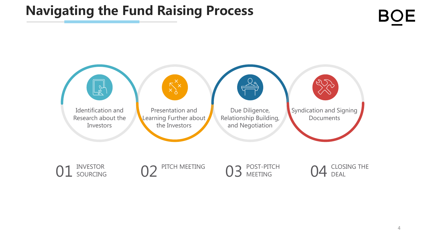# **Navigating the Fund Raising Process**

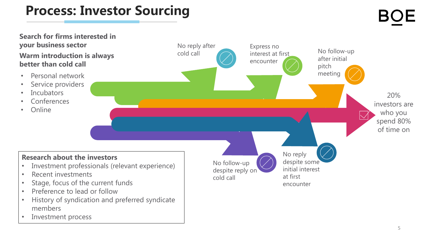# **Process: Investor Sourcing**

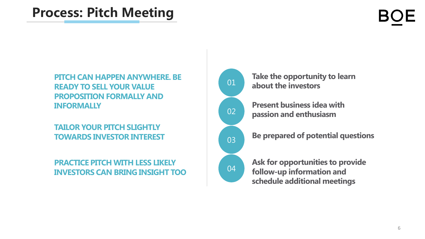# **Process: Pitch Meeting**

**PITCH CAN HAPPEN ANYWHERE. BE READY TO SELL YOUR VALUE PROPOSITION FORMALLY AND INFORMALLY**

#### **TAILOR YOUR PITCH SLIGHTLY TOWARDS INVESTOR INTEREST**

#### **PRACTICE PITCH WITH LESS LIKELY INVESTORS CAN BRING INSIGHT TOO**



**Take the opportunity to learn about the investors**

**Present business idea with passion and enthusiasm**



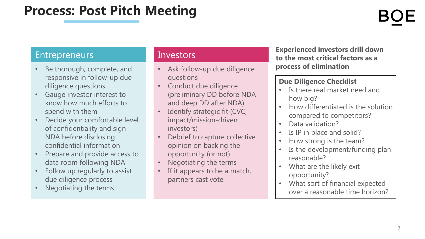### Entrepreneurs

- Be thorough, complete, and responsive in follow-up due diligence questions
- Gauge investor interest to know how much efforts to spend with them
- Decide your comfortable level of confidentiality and sign NDA before disclosing confidential information
- Prepare and provide access to data room following NDA
- Follow up regularly to assist due diligence process
- Negotiating the terms

#### Investors

- Ask follow-up due diligence questions
- Conduct due diligence (preliminary DD before NDA and deep DD after NDA)
- Identify strategic fit (CVC, impact/mission-driven investors)
- Debrief to capture collective opinion on backing the opportunity (or not)
- Negotiating the terms
- If it appears to be a match, partners cast vote

**Experienced investors drill down to the most critical factors as a process of elimination**

#### **Due Diligence Checklist**

- Is there real market need and how big?
- How differentiated is the solution compared to competitors?
- Data validation?
- Is IP in place and solid?
- How strong is the team?
- Is the development/funding plan reasonable?
- What are the likely exit opportunity?
- What sort of financial expected over a reasonable time horizon?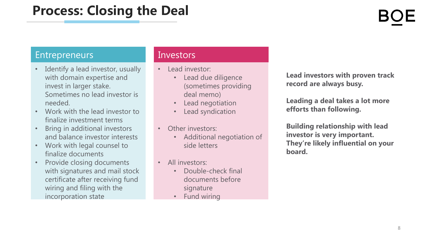# **Process: Closing the Deal**

### Entrepreneurs

- Identify a lead investor, usually with domain expertise and invest in larger stake. Sometimes no lead investor is needed.
- Work with the lead investor to finalize investment terms
- Bring in additional investors and balance investor interests
- Work with legal counsel to finalize documents
- Provide closing documents with signatures and mail stock certificate after receiving fund wiring and filing with the incorporation state

#### **Investors**

- Lead investor:
	- Lead due diligence (sometimes providing deal memo)
	- Lead negotiation
	- Lead syndication
- Other investors:
	- Additional negotiation of side letters
- All investors:
	- Double-check final documents before signature
	- Fund wiring

**Lead investors with proven track record are always busy.**

**Leading a deal takes a lot more efforts than following.**

**Building relationship with lead investor is very important. They're likely influential on your board.**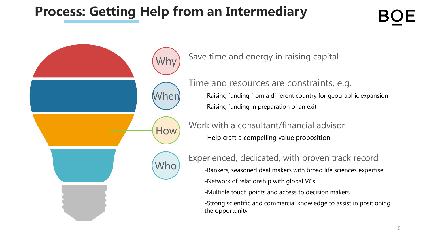# **Process: Getting Help from an Intermediary**

Why **When** How Who

Save time and energy in raising capital

Time and resources are constraints, e.g. -Raising funding from a different country for geographic expansion -Raising funding in preparation of an exit

Work with a consultant/financial advisor -Help craft a compelling value proposition

Experienced, dedicated, with proven track record

-Bankers, seasoned deal makers with broad life sciences expertise

- -Network of relationship with global VCs
- -Multiple touch points and access to decision makers

-Strong scientific and commercial knowledge to assist in positioning the opportunity